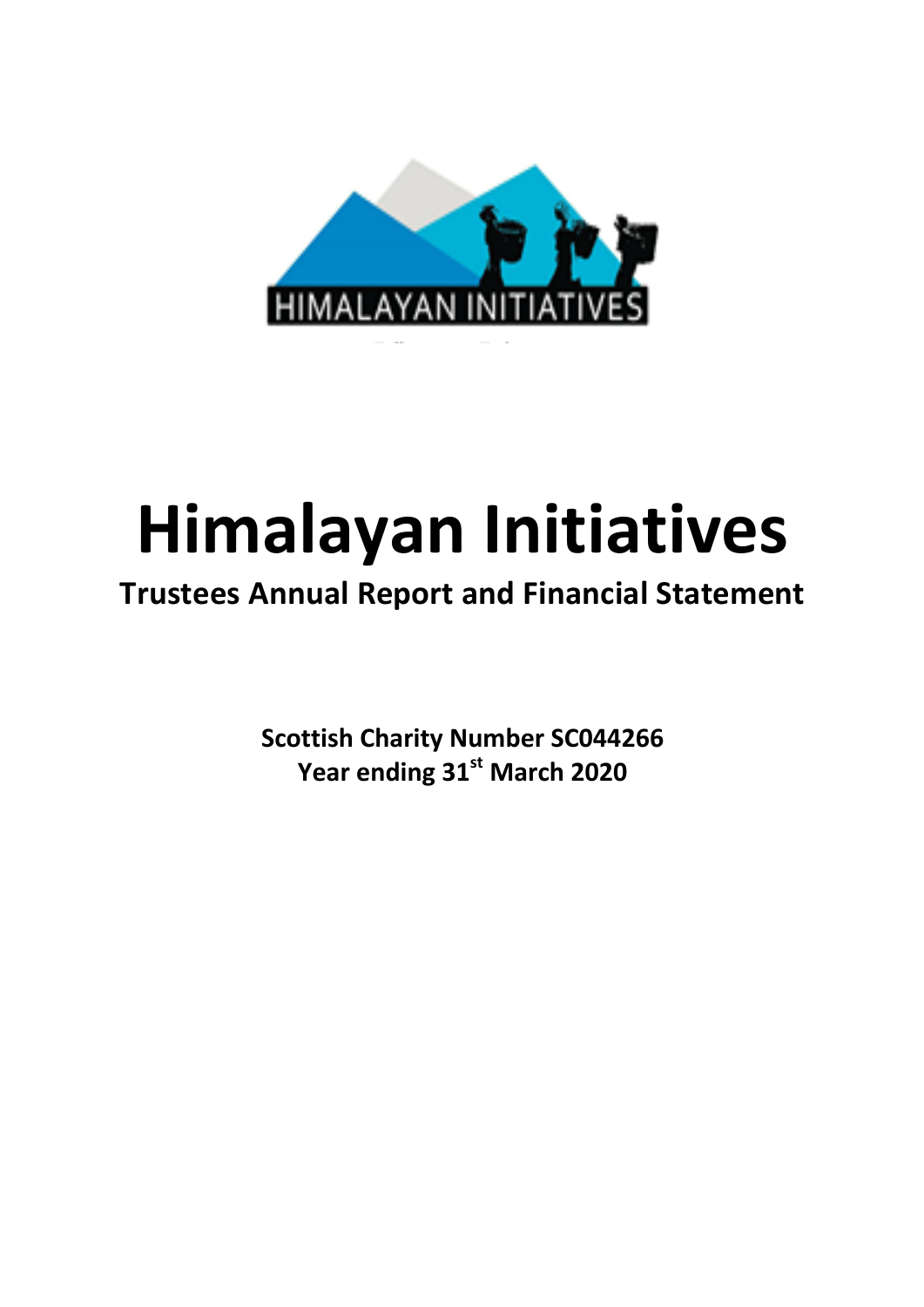

# **Himalayan Initiatives**

# **Trustees Annual Report and Financial Statement**

**Scottish Charity Number SC044266** Year ending 31<sup>st</sup> March 2020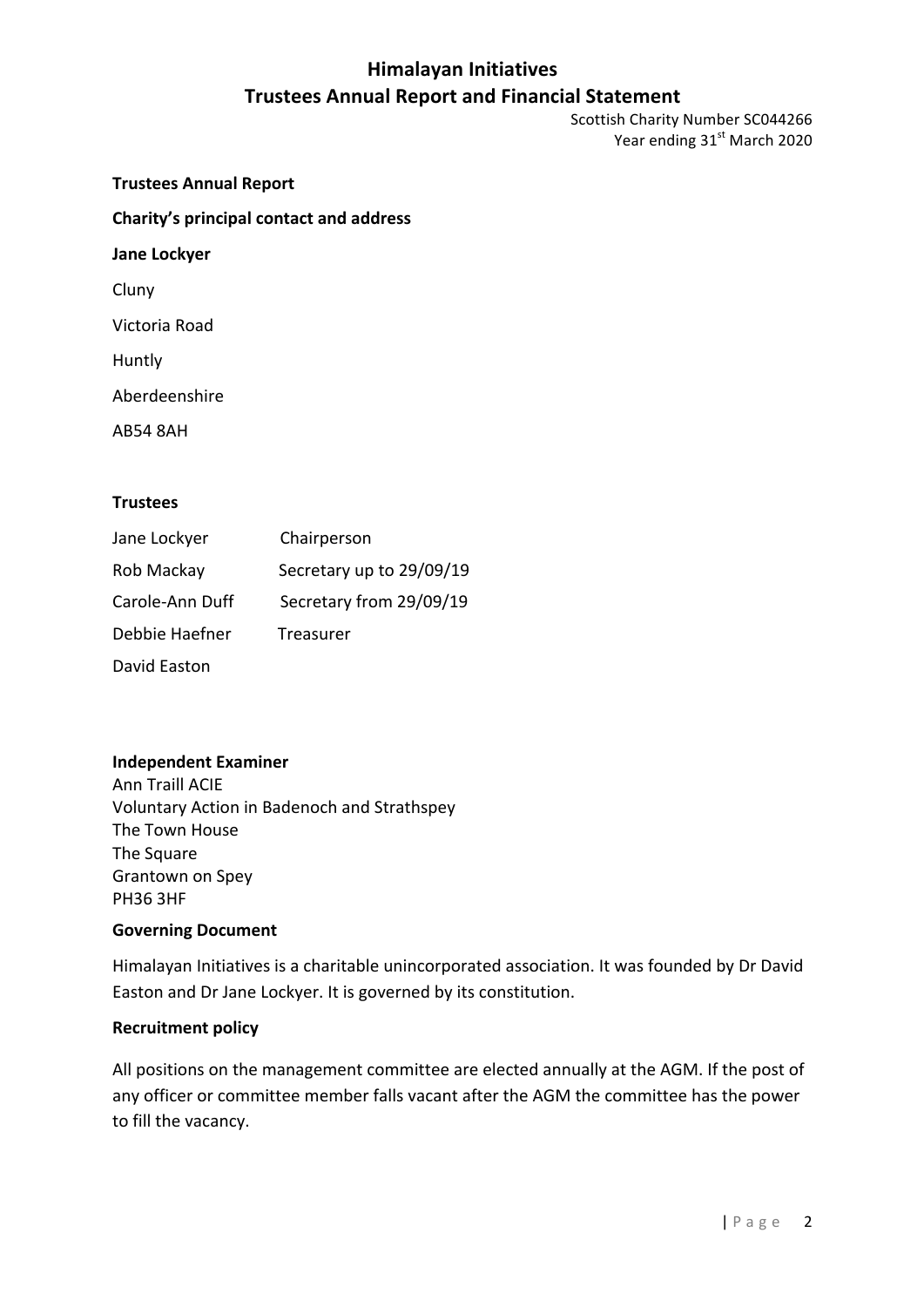Scottish Charity Number SC044266 Year ending 31<sup>st</sup> March 2020

**Trustees Annual Report Charity's principal contact and address Jane Lockyer** Cluny Victoria Road Huntly Aberdeenshire AB54 8AH

#### **Trustees**

| Jane Lockyer    | Chairperson              |
|-----------------|--------------------------|
| Rob Mackay      | Secretary up to 29/09/19 |
| Carole-Ann Duff | Secretary from 29/09/19  |
| Debbie Haefner  | Treasurer                |
| David Easton    |                          |

#### **Independent Examiner**

Ann Traill ACIE Voluntary Action in Badenoch and Strathspey The Town House The Square Grantown on Spey PH36 3HF

#### **Governing Document**

Himalayan Initiatives is a charitable unincorporated association. It was founded by Dr David Easton and Dr Jane Lockyer. It is governed by its constitution.

#### **Recruitment policy**

All positions on the management committee are elected annually at the AGM. If the post of any officer or committee member falls vacant after the AGM the committee has the power to fill the vacancy.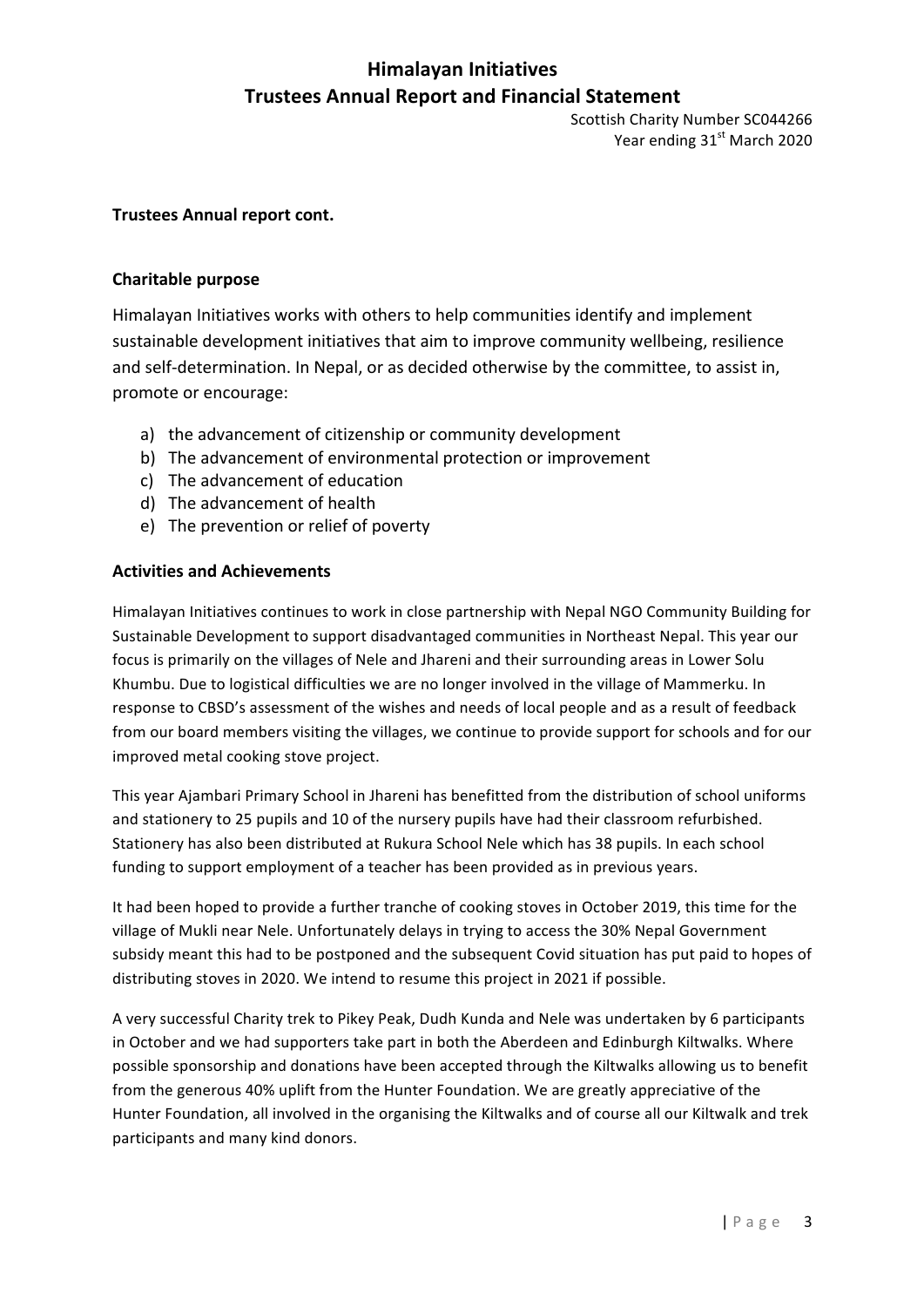Scottish Charity Number SC044266 Year ending 31<sup>st</sup> March 2020

#### **Trustees Annual report cont.**

#### **Charitable purpose**

Himalayan Initiatives works with others to help communities identify and implement sustainable development initiatives that aim to improve community wellbeing, resilience and self-determination. In Nepal, or as decided otherwise by the committee, to assist in, promote or encourage:

- a) the advancement of citizenship or community development
- b) The advancement of environmental protection or improvement
- c) The advancement of education
- d) The advancement of health
- e) The prevention or relief of poverty

#### **Activities and Achievements**

Himalayan Initiatives continues to work in close partnership with Nepal NGO Community Building for Sustainable Development to support disadvantaged communities in Northeast Nepal. This year our focus is primarily on the villages of Nele and Jhareni and their surrounding areas in Lower Solu Khumbu. Due to logistical difficulties we are no longer involved in the village of Mammerku. In response to CBSD's assessment of the wishes and needs of local people and as a result of feedback from our board members visiting the villages, we continue to provide support for schools and for our improved metal cooking stove project.

This year Ajambari Primary School in Jhareni has benefitted from the distribution of school uniforms and stationery to 25 pupils and 10 of the nursery pupils have had their classroom refurbished. Stationery has also been distributed at Rukura School Nele which has 38 pupils. In each school funding to support employment of a teacher has been provided as in previous years.

It had been hoped to provide a further tranche of cooking stoves in October 2019, this time for the village of Mukli near Nele. Unfortunately delays in trying to access the 30% Nepal Government subsidy meant this had to be postponed and the subsequent Covid situation has put paid to hopes of distributing stoves in 2020. We intend to resume this project in 2021 if possible.

A very successful Charity trek to Pikey Peak, Dudh Kunda and Nele was undertaken by 6 participants in October and we had supporters take part in both the Aberdeen and Edinburgh Kiltwalks. Where possible sponsorship and donations have been accepted through the Kiltwalks allowing us to benefit from the generous 40% uplift from the Hunter Foundation. We are greatly appreciative of the Hunter Foundation, all involved in the organising the Kiltwalks and of course all our Kiltwalk and trek participants and many kind donors.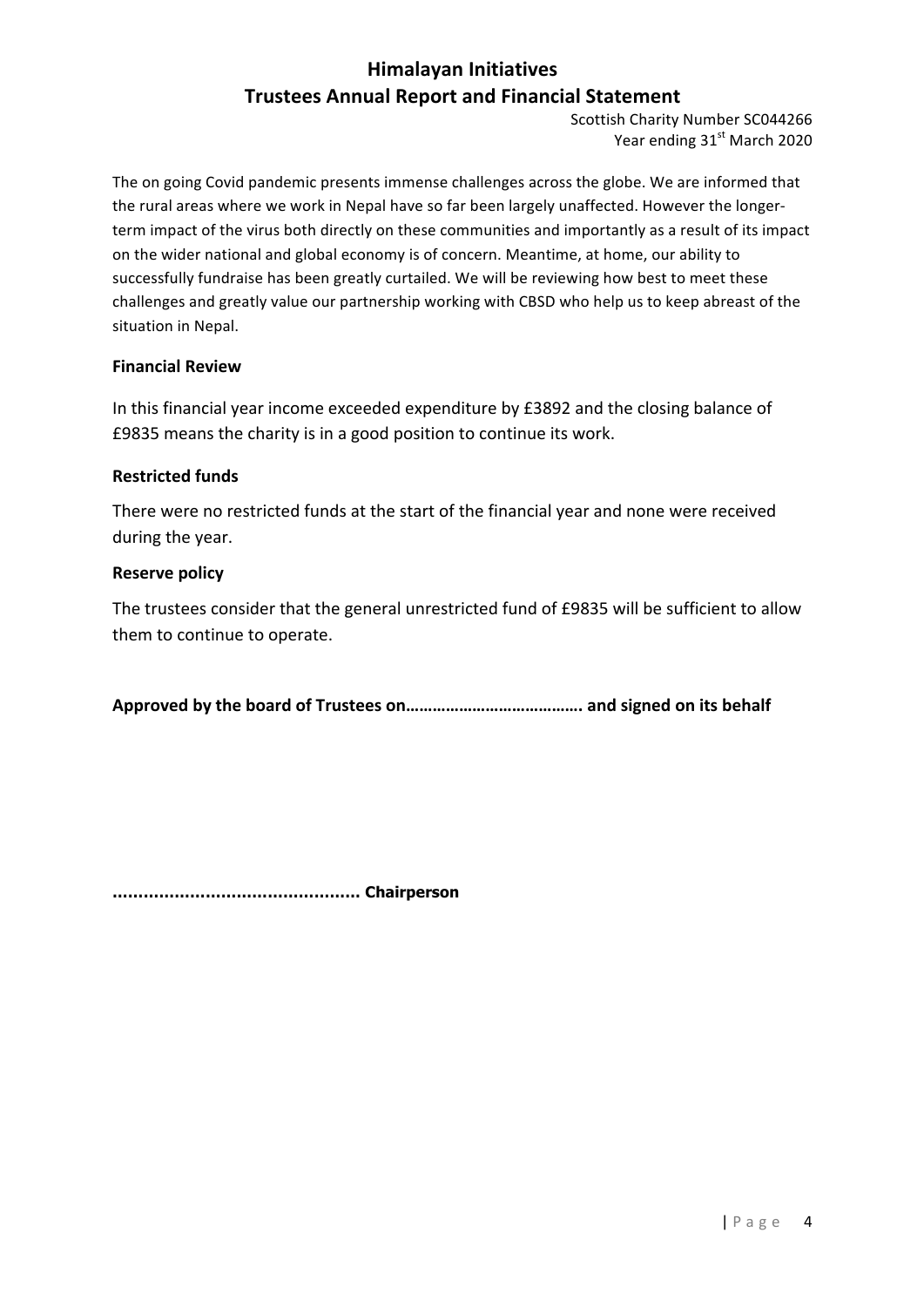Scottish Charity Number SC044266 Year ending 31<sup>st</sup> March 2020

The on going Covid pandemic presents immense challenges across the globe. We are informed that the rural areas where we work in Nepal have so far been largely unaffected. However the longerterm impact of the virus both directly on these communities and importantly as a result of its impact on the wider national and global economy is of concern. Meantime, at home, our ability to successfully fundraise has been greatly curtailed. We will be reviewing how best to meet these challenges and greatly value our partnership working with CBSD who help us to keep abreast of the situation in Nepal.

#### **Financial Review**

In this financial year income exceeded expenditure by £3892 and the closing balance of £9835 means the charity is in a good position to continue its work.

#### **Restricted funds**

There were no restricted funds at the start of the financial year and none were received during the year.

#### **Reserve policy**

The trustees consider that the general unrestricted fund of £9835 will be sufficient to allow them to continue to operate.

**Approved by the board of Trustees on…………………………………. and signed on its behalf**

**………………………………………… Chairperson**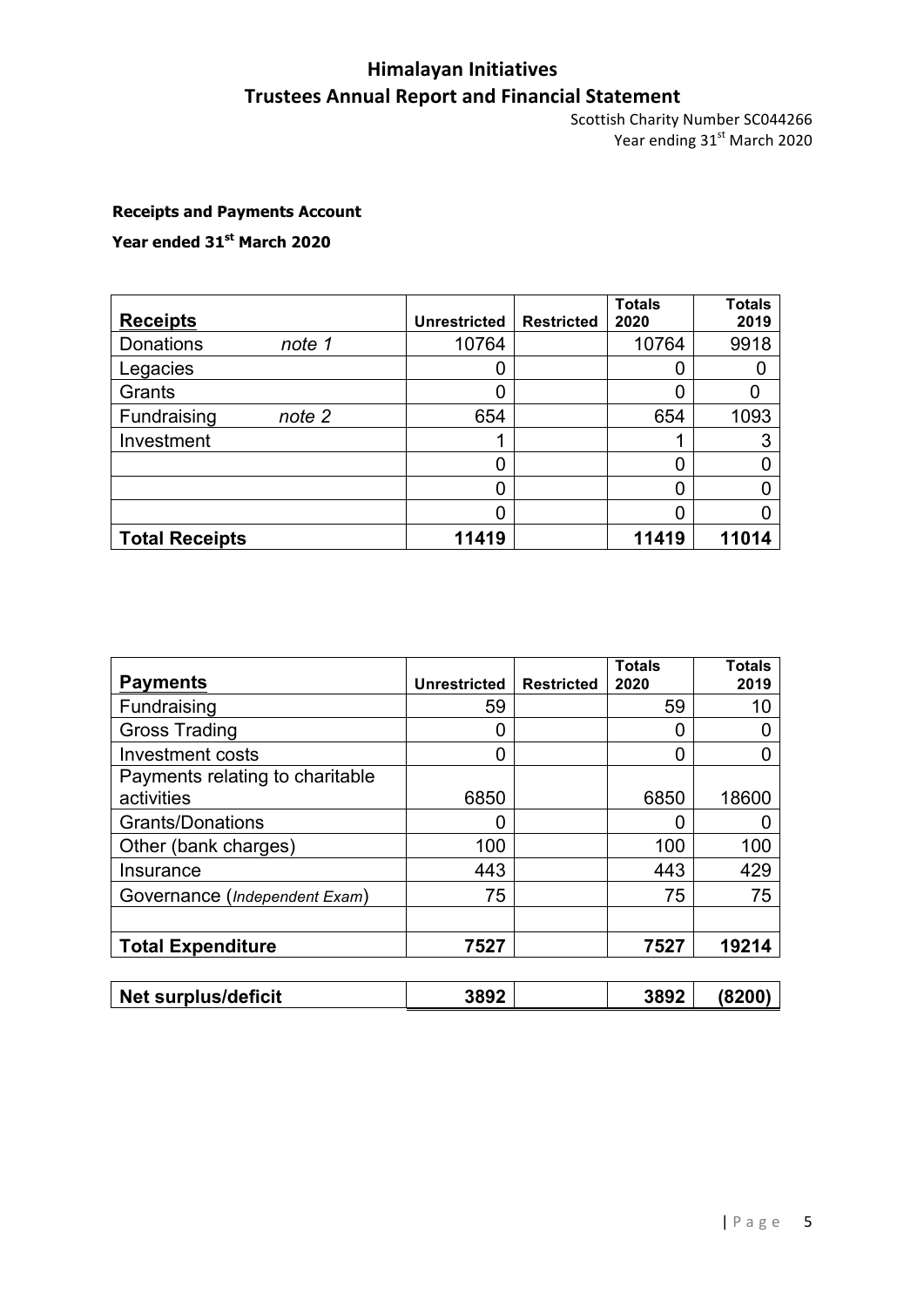Scottish Charity Number SC044266 Year ending  $31<sup>st</sup>$  March 2020

#### **Receipts and Payments Account**

**Year ended 31st March 2020**

| <b>Receipts</b>            | <b>Unrestricted</b> | <b>Restricted</b> | <b>Totals</b><br>2020 | <b>Totals</b><br>2019 |
|----------------------------|---------------------|-------------------|-----------------------|-----------------------|
| <b>Donations</b><br>note 1 | 10764               |                   | 10764                 | 9918                  |
| Legacies                   |                     |                   |                       |                       |
| Grants                     |                     |                   |                       |                       |
| Fundraising<br>note 2      | 654                 |                   | 654                   | 1093                  |
| Investment                 |                     |                   |                       | 3                     |
|                            |                     |                   |                       |                       |
|                            |                     |                   |                       |                       |
|                            |                     |                   |                       |                       |
| <b>Total Receipts</b>      | 11419               |                   | 11419                 | 11014                 |

| <b>Payments</b>                 | <b>Unrestricted</b> | <b>Restricted</b> | <b>Totals</b><br>2020 | <b>Totals</b><br>2019 |
|---------------------------------|---------------------|-------------------|-----------------------|-----------------------|
| Fundraising                     | 59                  |                   | 59                    | 10                    |
| <b>Gross Trading</b>            |                     |                   | 0                     |                       |
| Investment costs                |                     |                   |                       |                       |
| Payments relating to charitable |                     |                   |                       |                       |
| activities                      | 6850                |                   | 6850                  | 18600                 |
| <b>Grants/Donations</b>         |                     |                   |                       |                       |
| Other (bank charges)            | 100                 |                   | 100                   | 100                   |
| Insurance                       | 443                 |                   | 443                   | 429                   |
| Governance (Independent Exam)   | 75                  |                   | 75                    | 75                    |
|                                 |                     |                   |                       |                       |
| <b>Total Expenditure</b>        | 7527                |                   | 7527                  | 19214                 |
|                                 |                     |                   |                       |                       |
| <b>Net surplus/deficit</b>      | 3892                |                   | 3892                  | (8200)                |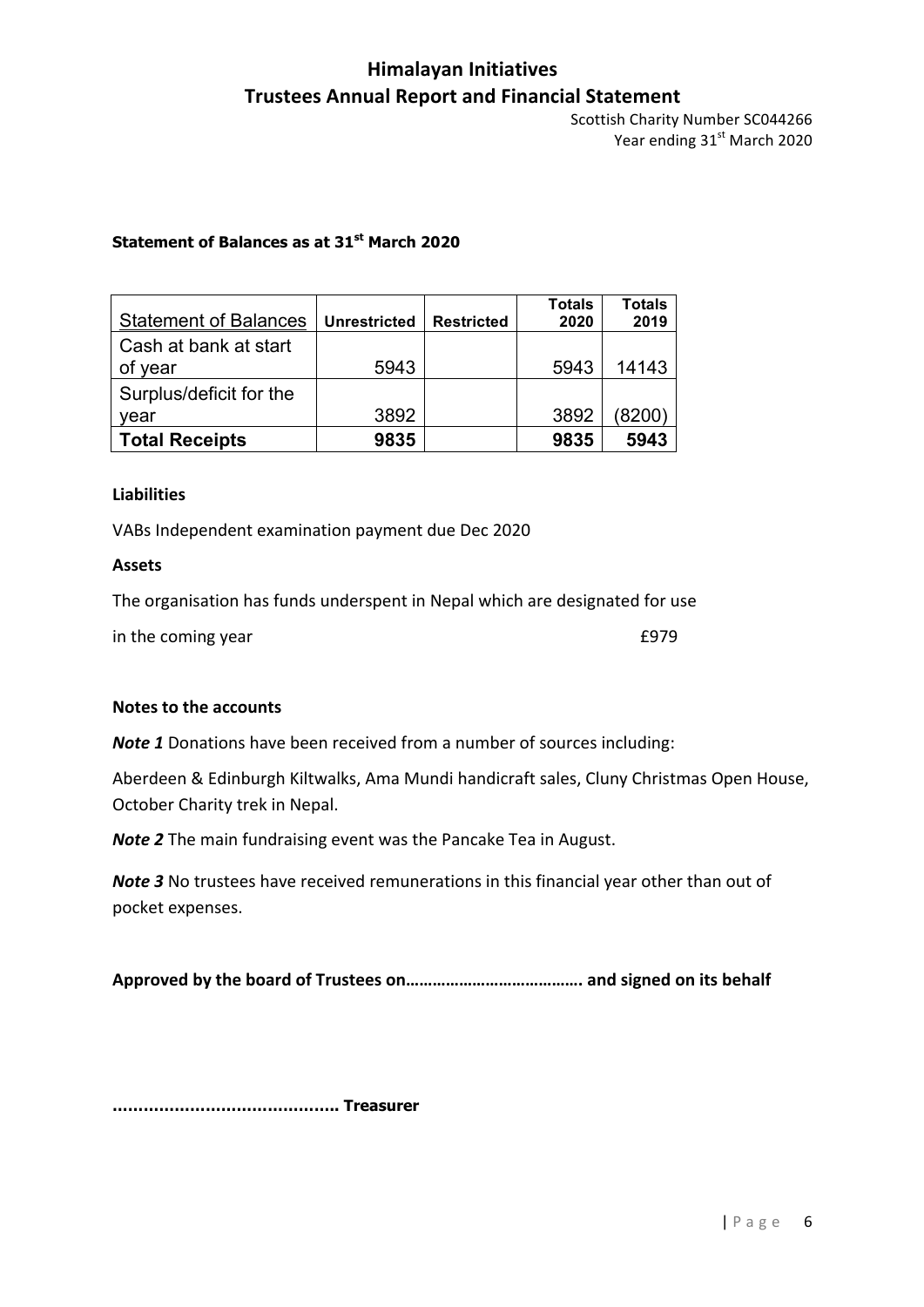Scottish Charity Number SC044266 Year ending 31<sup>st</sup> March 2020

#### **Statement of Balances as at 31st March 2020**

| <b>Statement of Balances</b> | <b>Unrestricted</b> | <b>Restricted</b> | <b>Totals</b><br>2020 | <b>Totals</b><br>2019 |
|------------------------------|---------------------|-------------------|-----------------------|-----------------------|
| Cash at bank at start        |                     |                   |                       |                       |
| of year                      | 5943                |                   | 5943                  | 14143                 |
| Surplus/deficit for the      |                     |                   |                       |                       |
| vear                         | 3892                |                   | 3892                  | (8200)                |
| <b>Total Receipts</b>        | 9835                |                   | 9835                  | 5943                  |

#### **Liabilities**

VABs Independent examination payment due Dec 2020

#### **Assets**

The organisation has funds underspent in Nepal which are designated for use

in the coming year £979

#### **Notes to the accounts**

*Note 1* Donations have been received from a number of sources including:

Aberdeen & Edinburgh Kiltwalks, Ama Mundi handicraft sales, Cluny Christmas Open House, October Charity trek in Nepal.

**Note 2** The main fundraising event was the Pancake Tea in August.

*Note* 3 No trustees have received remunerations in this financial year other than out of pocket expenses.

**Approved by the board of Trustees on…………………………………. and signed on its behalf**

**…………………………………….. Treasurer**